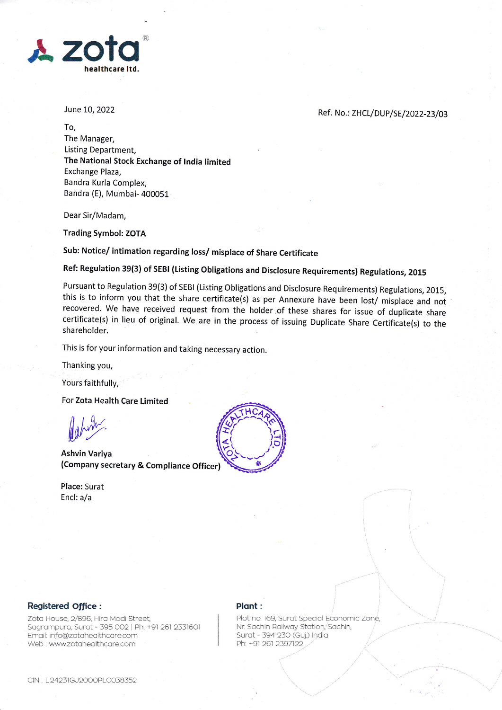

June 10, 2022

Ref. No.: ZHCL/DUP/SE/2022-23/03

To, The Manager, Listing Department, The National Stock Exchange of tndia limited Exchange Plaza, Bandra Kurla Complex, Bandra (E), Mumbai- 400051

Dear Sir/Madam,

Trading Symbol: ZOTA

sub: Notice/ intimation regarding loss/ misplace of share certificate

Ref: Regulation 39(3) of SEBI (Listing Obligations and Disclosure Requirements) Regulations, 2015

Pursuant to Regulation 39(3) of SEBI (Listing obligations and Disclosure Requirements) Regulations, 2015, this is to inform you that the share certificate(s) as per Annexure have been lost/ misplace and not recovered. We have received request from the holder:of these shares for issue of duplicate share certificate(s) in lieu of original. we are in the process of issuing Duplicate Share Certificate(s) to the shareholder

This is for your information and taking necessary action.

Thanking you,

Yours faithfully,

For Zota Health Care Limited

debirn.

Ashvin Variya (Company secretary & Compliance Officer)

Place: Surat Encl: a/a



## Registered Office:

Zota House, 2/896, Hira Modi Street, Sagrampura, Surat - 395 002 | Ph: +91 261 2331601 Email: info@zotahealthcare.com Web . wwwzotoheolthcore.com

## Plant:

Plot no. 169, Surat Special Economic Zone, Nr. Sachin Railway Station, Sachin, Surat - 394 230 (Guj.) India Ph: +91 261 2397122